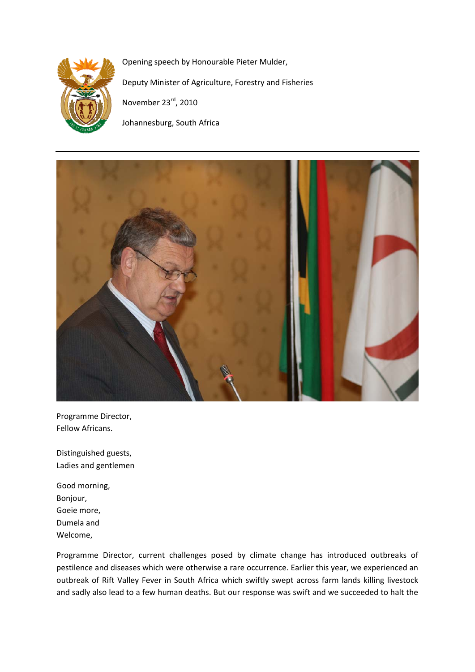

Opening speech by Honourable Pieter Mulder, Deputy Minister of Agriculture, Forestry and Fisheries November 23rd, 2010 Johannesburg, South Africa



Programme Director, Fellow Africans.

Distinguished guests, Ladies and gentlemen

Good morning, Bonjour, Goeie more, Dumela and Welcome,

Programme Director, current challenges posed by climate change has introduced outbreaks of pestilence and diseases which were otherwise a rare occurrence. Earlier this year, we experienced an outbreak of Rift Valley Fever in South Africa which swiftly swept across farm lands killing livestock and sadly also lead to a few human deaths. But our response was swift and we succeeded to halt the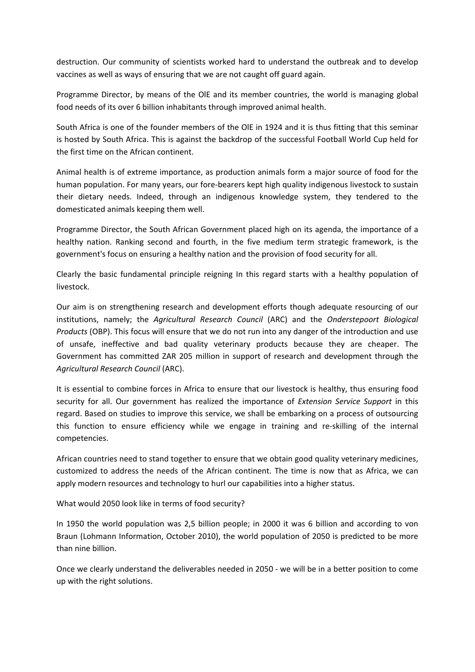destruction. Our community of scientists worked hard to understand the outbreak and to develop vaccines as well as ways of ensuring that we are not caught off guard again.

Programme Director, by means of the OlE and its member countries, the world is managing global food needs of its over 6 billion inhabitants through improved animal health.

South Africa is one of the founder members of the OlE in 1924 and it is thus fitting that this seminar is hosted by South Africa. This is against the backdrop of the successful Football World Cup held for the first time on the African continent.

Animal health is of extreme importance, as production animals form a major source of food for the human population. For many years, our fore‐bearers kept high quality indigenous livestock to sustain their dietary needs. Indeed, through an indigenous knowledge system, they tendered to the domesticated animals keeping them well.

Programme Director, the South African Government placed high on its agenda, the importance of a healthy nation. Ranking second and fourth, in the five medium term strategic framework, is the government's focus on ensuring a healthy nation and the provision of food security for all.

Clearly the basic fundamental principle reigning In this regard starts with a healthy population of livestock.

Our aim is on strengthening research and development efforts though adequate resourcing of our institutions, namely; the *Agricultural Research Council* (ARC) and the *Onderstepoort Biological Products* (OBP). This focus will ensure that we do not run into any danger of the introduction and use of unsafe, ineffective and bad quality veterinary products because they are cheaper. The Government has committed ZAR 205 million in support of research and development through the *Agricultural Research Council* (ARC).

It is essential to combine forces in Africa to ensure that our livestock is healthy, thus ensuring food security for all. Our government has realized the importance of *Extension Service Support* in this regard. Based on studies to improve this service, we shall be embarking on a process of outsourcing this function to ensure efficiency while we engage in training and re‐skilling of the internal competencies.

African countries need to stand together to ensure that we obtain good quality veterinary medicines, customized to address the needs of the African continent. The time is now that as Africa, we can apply modern resources and technology to hurl our capabilities into a higher status.

What would 2050 look like in terms of food security?

In 1950 the world population was 2,5 billion people; in 2000 it was 6 billion and according to von Braun (Lohmann Information, October 2010), the world population of 2050 is predicted to be more than nine billion.

Once we clearly understand the deliverables needed in 2050 ‐ we will be in a better position to come up with the right solutions.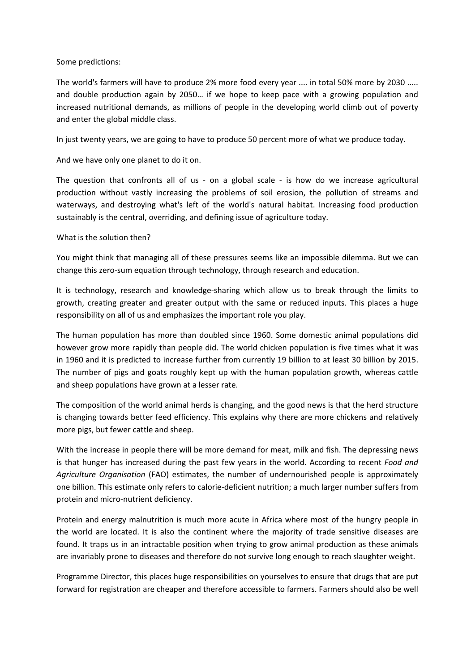## Some predictions:

The world's farmers will have to produce 2% more food every year .... in total 50% more by 2030 ..... and double production again by 2050… if we hope to keep pace with a growing population and increased nutritional demands, as millions of people in the developing world climb out of poverty and enter the global middle class.

In just twenty years, we are going to have to produce 50 percent more of what we produce today.

And we have only one planet to do it on.

The question that confronts all of us  $-$  on a global scale  $-$  is how do we increase agricultural production without vastly increasing the problems of soil erosion, the pollution of streams and waterways, and destroying what's left of the world's natural habitat. Increasing food production sustainably is the central, overriding, and defining issue of agriculture today.

## What is the solution then?

You might think that managing all of these pressures seems like an impossible dilemma. But we can change this zero-sum equation through technology, through research and education.

It is technology, research and knowledge‐sharing which allow us to break through the limits to growth, creating greater and greater output with the same or reduced inputs. This places a huge responsibility on all of us and emphasizes the important role you play.

The human population has more than doubled since 1960. Some domestic animal populations did however grow more rapidly than people did. The world chicken population is five times what it was in 1960 and it is predicted to increase further from currently 19 billion to at least 30 billion by 2015. The number of pigs and goats roughly kept up with the human population growth, whereas cattle and sheep populations have grown at a lesser rate.

The composition of the world animal herds is changing, and the good news is that the herd structure is changing towards better feed efficiency. This explains why there are more chickens and relatively more pigs, but fewer cattle and sheep.

With the increase in people there will be more demand for meat, milk and fish. The depressing news is that hunger has increased during the past few years in the world. According to recent *Food and Agriculture Organisation* (FAO) estimates, the number of undernourished people is approximately one billion. This estimate only refers to calorie‐deficient nutrition; a much larger number suffers from protein and micro‐nutrient deficiency.

Protein and energy malnutrition is much more acute in Africa where most of the hungry people in the world are located. It is also the continent where the majority of trade sensitive diseases are found. It traps us in an intractable position when trying to grow animal production as these animals are invariably prone to diseases and therefore do not survive long enough to reach slaughter weight.

Programme Director, this places huge responsibilities on yourselves to ensure that drugs that are put forward for registration are cheaper and therefore accessible to farmers. Farmers should also be well